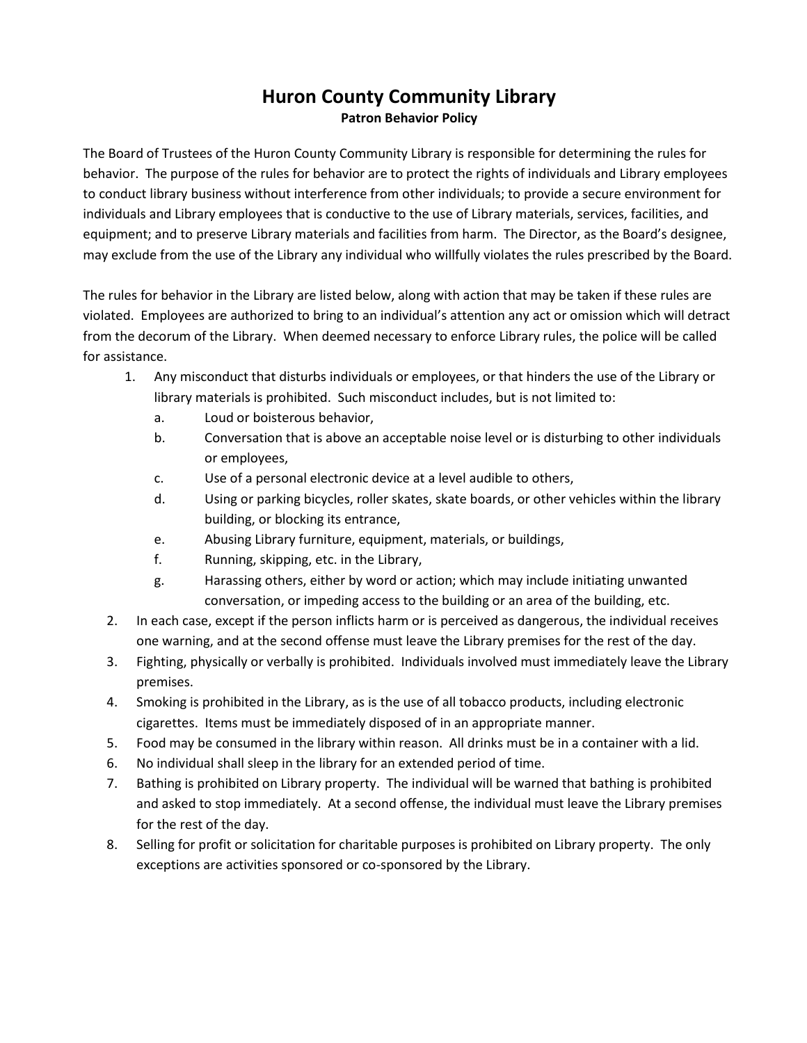## **Huron County Community Library Patron Behavior Policy**

The Board of Trustees of the Huron County Community Library is responsible for determining the rules for behavior. The purpose of the rules for behavior are to protect the rights of individuals and Library employees to conduct library business without interference from other individuals; to provide a secure environment for individuals and Library employees that is conductive to the use of Library materials, services, facilities, and equipment; and to preserve Library materials and facilities from harm. The Director, as the Board's designee, may exclude from the use of the Library any individual who willfully violates the rules prescribed by the Board.

The rules for behavior in the Library are listed below, along with action that may be taken if these rules are violated. Employees are authorized to bring to an individual's attention any act or omission which will detract from the decorum of the Library. When deemed necessary to enforce Library rules, the police will be called for assistance.

- 1. Any misconduct that disturbs individuals or employees, or that hinders the use of the Library or library materials is prohibited. Such misconduct includes, but is not limited to:
	- a. Loud or boisterous behavior,
	- b. Conversation that is above an acceptable noise level or is disturbing to other individuals or employees,
	- c. Use of a personal electronic device at a level audible to others,
	- d. Using or parking bicycles, roller skates, skate boards, or other vehicles within the library building, or blocking its entrance,
	- e. Abusing Library furniture, equipment, materials, or buildings,
	- f. Running, skipping, etc. in the Library,
	- g. Harassing others, either by word or action; which may include initiating unwanted conversation, or impeding access to the building or an area of the building, etc.
- 2. In each case, except if the person inflicts harm or is perceived as dangerous, the individual receives one warning, and at the second offense must leave the Library premises for the rest of the day.
- 3. Fighting, physically or verbally is prohibited. Individuals involved must immediately leave the Library premises.
- 4. Smoking is prohibited in the Library, as is the use of all tobacco products, including electronic cigarettes. Items must be immediately disposed of in an appropriate manner.
- 5. Food may be consumed in the library within reason. All drinks must be in a container with a lid.
- 6. No individual shall sleep in the library for an extended period of time.
- 7. Bathing is prohibited on Library property. The individual will be warned that bathing is prohibited and asked to stop immediately. At a second offense, the individual must leave the Library premises for the rest of the day.
- 8. Selling for profit or solicitation for charitable purposes is prohibited on Library property. The only exceptions are activities sponsored or co-sponsored by the Library.